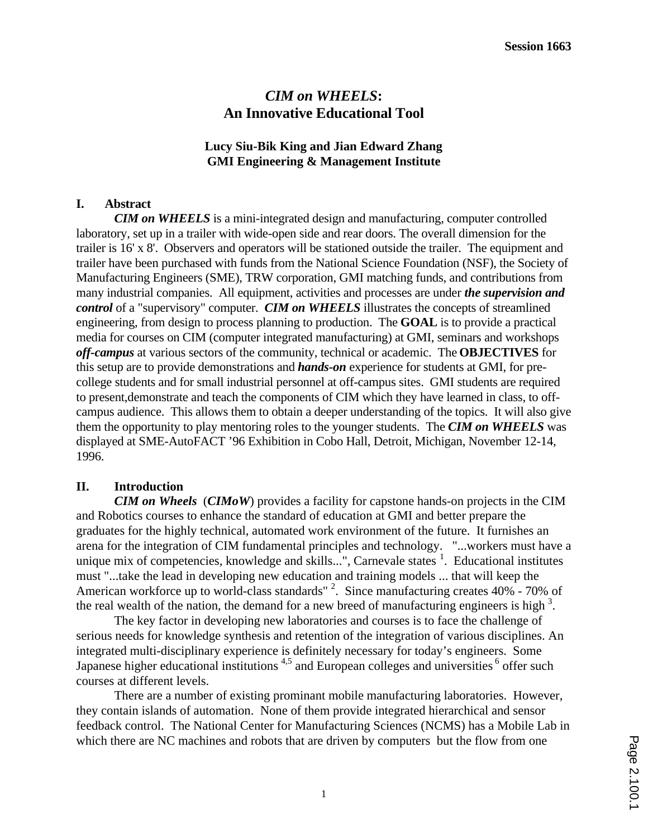# *CIM on WHEELS***: An Innovative Educational Tool**

#### **Lucy Siu-Bik King and Jian Edward Zhang GMI Engineering & Management Institute**

## **I. Abstract**

*CIM on WHEELS* is a mini-integrated design and manufacturing, computer controlled laboratory, set up in a trailer with wide-open side and rear doors. The overall dimension for the trailer is 16' x 8'. Observers and operators will be stationed outside the trailer. The equipment and trailer have been purchased with funds from the National Science Foundation (NSF), the Society of Manufacturing Engineers (SME), TRW corporation, GMI matching funds, and contributions from many industrial companies. All equipment, activities and processes are under *the supervision and control* of a "supervisory" computer. *CIM on WHEELS* illustrates the concepts of streamlined engineering, from design to process planning to production. The **GOAL** is to provide a practical media for courses on CIM (computer integrated manufacturing) at GMI, seminars and workshops *off-campus* at various sectors of the community, technical or academic. The **OBJECTIVES** for this setup are to provide demonstrations and *hands-on* experience for students at GMI, for precollege students and for small industrial personnel at off-campus sites. GMI students are required to present,demonstrate and teach the components of CIM which they have learned in class, to offcampus audience. This allows them to obtain a deeper understanding of the topics. It will also give them the opportunity to play mentoring roles to the younger students. The *CIM on WHEELS* was displayed at SME-AutoFACT '96 Exhibition in Cobo Hall, Detroit, Michigan, November 12-14, 1996.

## **II. Introduction**

*CIM on Wheels* (*CIMoW*) provides a facility for capstone hands-on projects in the CIM and Robotics courses to enhance the standard of education at GMI and better prepare the graduates for the highly technical, automated work environment of the future. It furnishes an arena for the integration of CIM fundamental principles and technology. "...workers must have a unique mix of competencies, knowledge and skills...", Carnevale states <sup>1</sup>. Educational institutes must "...take the lead in developing new education and training models ... that will keep the American workforce up to world-class standards" <sup>2</sup>. Since manufacturing creates 40% - 70% of the real wealth of the nation, the demand for a new breed of manufacturing engineers is high  $3$ .

The key factor in developing new laboratories and courses is to face the challenge of serious needs for knowledge synthesis and retention of the integration of various disciplines. An integrated multi-disciplinary experience is definitely necessary for today's engineers. Some Japanese higher educational institutions  $4.5$  and European colleges and universities  $6$  offer such courses at different levels.

There are a number of existing prominant mobile manufacturing laboratories. However, they contain islands of automation. None of them provide integrated hierarchical and sensor feedback control. The National Center for Manufacturing Sciences (NCMS) has a Mobile Lab in which there are NC machines and robots that are driven by computers but the flow from one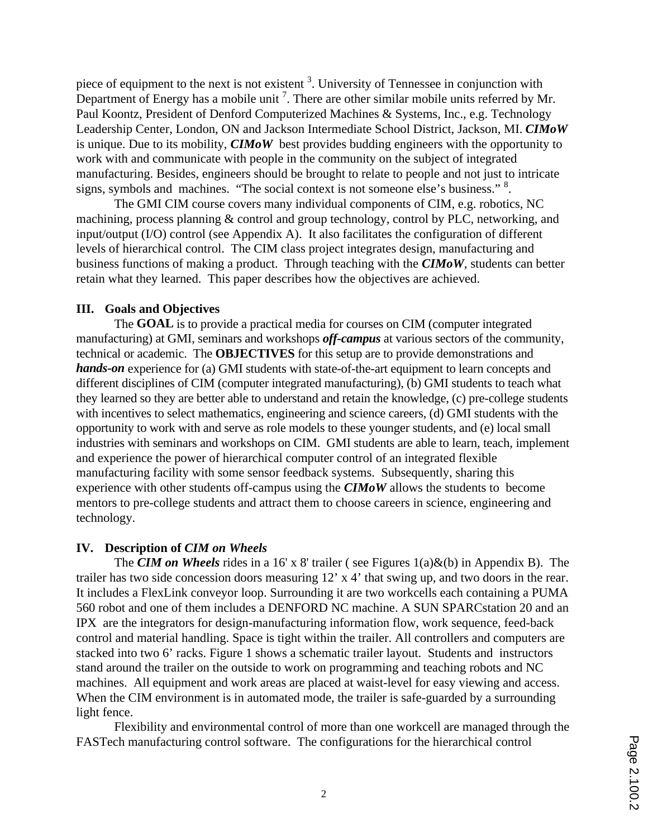piece of equipment to the next is not existent <sup>3</sup>. University of Tennessee in conjunction with Department of Energy has a mobile unit  $<sup>7</sup>$ . There are other similar mobile units referred by Mr.</sup> Paul Koontz, President of Denford Computerized Machines & Systems, Inc., e.g. Technology Leadership Center, London, ON and Jackson Intermediate School District, Jackson, MI. *CIMoW* is unique. Due to its mobility, *CIMoW* best provides budding engineers with the opportunity to work with and communicate with people in the community on the subject of integrated manufacturing. Besides, engineers should be brought to relate to people and not just to intricate signs, symbols and machines. "The social context is not someone else's business." <sup>8</sup>.

The GMI CIM course covers many individual components of CIM, e.g. robotics, NC machining, process planning & control and group technology, control by PLC, networking, and input/output (I/O) control (see Appendix A). It also facilitates the configuration of different levels of hierarchical control. The CIM class project integrates design, manufacturing and business functions of making a product. Through teaching with the *CIMoW*, students can better retain what they learned. This paper describes how the objectives are achieved.

#### **III. Goals and Objectives**

The **GOAL** is to provide a practical media for courses on CIM (computer integrated manufacturing) at GMI, seminars and workshops *off-campus* at various sectors of the community, technical or academic. The **OBJECTIVES** for this setup are to provide demonstrations and *hands-on* experience for (a) GMI students with state-of-the-art equipment to learn concepts and different disciplines of CIM (computer integrated manufacturing), (b) GMI students to teach what they learned so they are better able to understand and retain the knowledge, (c) pre-college students with incentives to select mathematics, engineering and science careers, (d) GMI students with the opportunity to work with and serve as role models to these younger students, and (e) local small industries with seminars and workshops on CIM. GMI students are able to learn, teach, implement and experience the power of hierarchical computer control of an integrated flexible manufacturing facility with some sensor feedback systems. Subsequently, sharing this experience with other students off-campus using the *CIMoW* allows the students to become mentors to pre-college students and attract them to choose careers in science, engineering and technology.

#### **IV. Description of** *CIM on Wheels*

The *CIM on Wheels* rides in a 16' x 8' trailer ( see Figures 1(a)&(b) in Appendix B). The trailer has two side concession doors measuring 12' x 4' that swing up, and two doors in the rear. It includes a FlexLink conveyor loop. Surrounding it are two workcells each containing a PUMA 560 robot and one of them includes a DENFORD NC machine. A SUN SPARCstation 20 and an IPX are the integrators for design-manufacturing information flow, work sequence, feed-back control and material handling. Space is tight within the trailer. All controllers and computers are stacked into two 6' racks. Figure 1 shows a schematic trailer layout. Students and instructors stand around the trailer on the outside to work on programming and teaching robots and NC machines. All equipment and work areas are placed at waist-level for easy viewing and access. When the CIM environment is in automated mode, the trailer is safe-guarded by a surrounding light fence.

Flexibility and environmental control of more than one workcell are managed through the FASTech manufacturing control software. The configurations for the hierarchical control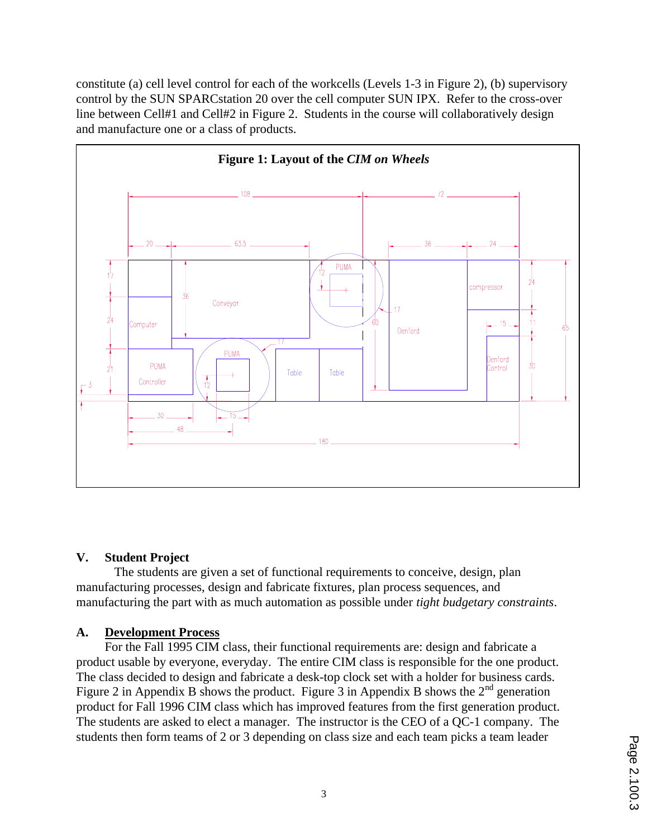constitute (a) cell level control for each of the workcells (Levels 1-3 in Figure 2), (b) supervisory control by the SUN SPARCstation 20 over the cell computer SUN IPX. Refer to the cross-over line between Cell#1 and Cell#2 in Figure 2. Students in the course will collaboratively design and manufacture one or a class of products.



## **V. Student Project**

The students are given a set of functional requirements to conceive, design, plan manufacturing processes, design and fabricate fixtures, plan process sequences, and manufacturing the part with as much automation as possible under *tight budgetary constraints*.

## **A. Development Process**

For the Fall 1995 CIM class, their functional requirements are: design and fabricate a product usable by everyone, everyday. The entire CIM class is responsible for the one product. The class decided to design and fabricate a desk-top clock set with a holder for business cards. Figure 2 in Appendix B shows the product. Figure 3 in Appendix B shows the  $2<sup>nd</sup>$  generation product for Fall 1996 CIM class which has improved features from the first generation product. The students are asked to elect a manager. The instructor is the CEO of a QC-1 company. The students then form teams of 2 or 3 depending on class size and each team picks a team leader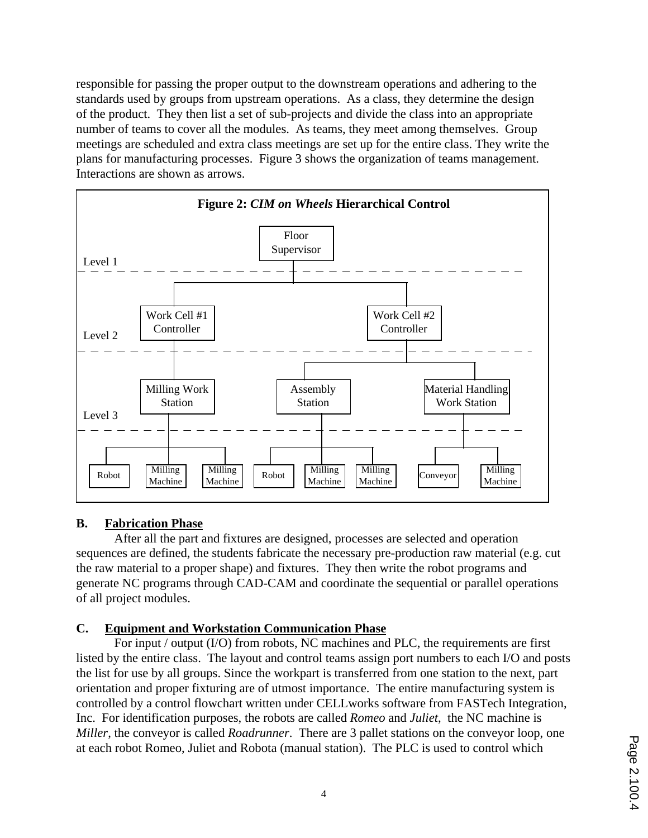responsible for passing the proper output to the downstream operations and adhering to the standards used by groups from upstream operations. As a class, they determine the design of the product. They then list a set of sub-projects and divide the class into an appropriate number of teams to cover all the modules. As teams, they meet among themselves. Group meetings are scheduled and extra class meetings are set up for the entire class. They write the plans for manufacturing processes. Figure 3 shows the organization of teams management. Interactions are shown as arrows.



## **B. Fabrication Phase**

After all the part and fixtures are designed, processes are selected and operation sequences are defined, the students fabricate the necessary pre-production raw material (e.g. cut the raw material to a proper shape) and fixtures. They then write the robot programs and generate NC programs through CAD-CAM and coordinate the sequential or parallel operations of all project modules.

## **C. Equipment and Workstation Communication Phase**

For input / output (I/O) from robots, NC machines and PLC, the requirements are first listed by the entire class. The layout and control teams assign port numbers to each I/O and posts the list for use by all groups. Since the workpart is transferred from one station to the next, part orientation and proper fixturing are of utmost importance. The entire manufacturing system is controlled by a control flowchart written under CELLworks software from FASTech Integration, Inc. For identification purposes, the robots are called *Romeo* and *Juliet*, the NC machine is *Miller*, the conveyor is called *Roadrunner*. There are 3 pallet stations on the conveyor loop, one at each robot Romeo, Juliet and Robota (manual station). The PLC is used to control which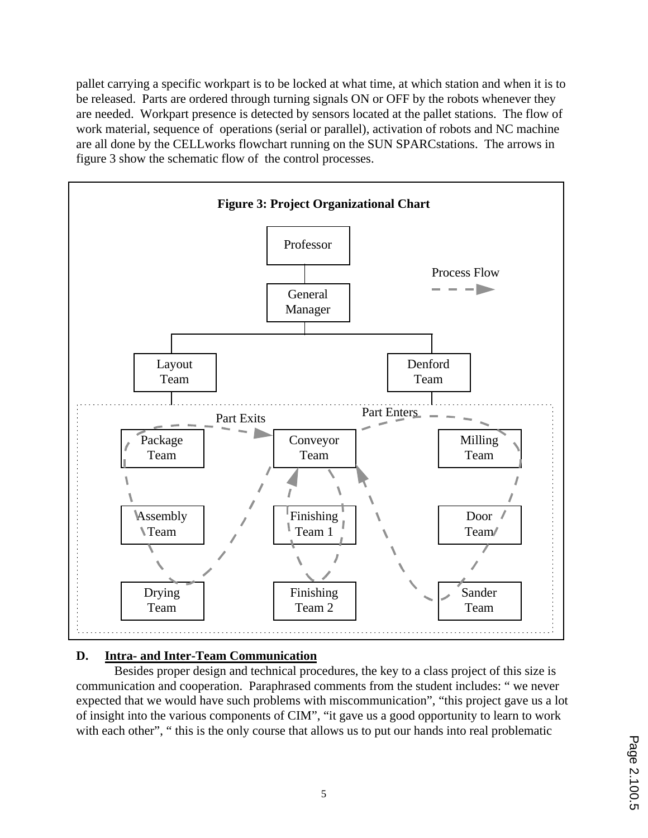pallet carrying a specific workpart is to be locked at what time, at which station and when it is to be released. Parts are ordered through turning signals ON or OFF by the robots whenever they are needed. Workpart presence is detected by sensors located at the pallet stations. The flow of work material, sequence of operations (serial or parallel), activation of robots and NC machine are all done by the CELLworks flowchart running on the SUN SPARCstations. The arrows in figure 3 show the schematic flow of the control processes.



## **D. Intra- and Inter-Team Communication**

Besides proper design and technical procedures, the key to a class project of this size is communication and cooperation. Paraphrased comments from the student includes: " we never expected that we would have such problems with miscommunication", "this project gave us a lot of insight into the various components of CIM", "it gave us a good opportunity to learn to work with each other", "this is the only course that allows us to put our hands into real problematic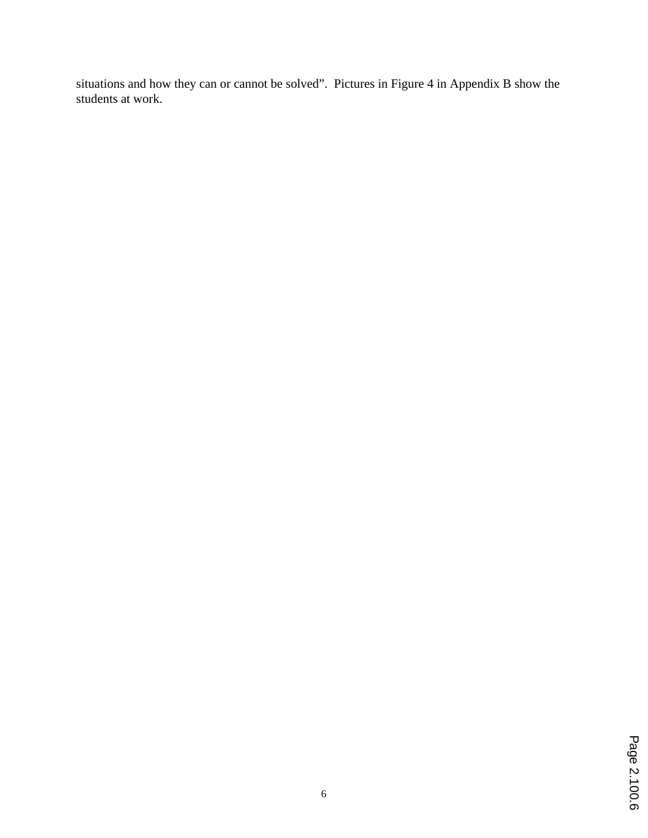situations and how they can or cannot be solved". Pictures in Figure 4 in Appendix B show the students at work.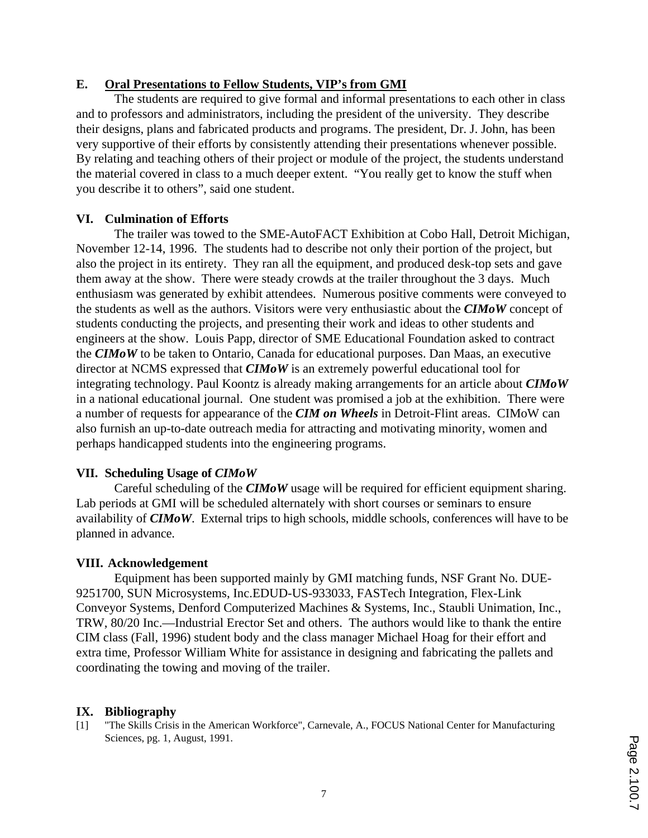#### **E. Oral Presentations to Fellow Students, VIP's from GMI**

The students are required to give formal and informal presentations to each other in class and to professors and administrators, including the president of the university. They describe their designs, plans and fabricated products and programs. The president, Dr. J. John, has been very supportive of their efforts by consistently attending their presentations whenever possible. By relating and teaching others of their project or module of the project, the students understand the material covered in class to a much deeper extent. "You really get to know the stuff when you describe it to others", said one student.

#### **VI. Culmination of Efforts**

The trailer was towed to the SME-AutoFACT Exhibition at Cobo Hall, Detroit Michigan, November 12-14, 1996. The students had to describe not only their portion of the project, but also the project in its entirety. They ran all the equipment, and produced desk-top sets and gave them away at the show. There were steady crowds at the trailer throughout the 3 days. Much enthusiasm was generated by exhibit attendees. Numerous positive comments were conveyed to the students as well as the authors. Visitors were very enthusiastic about the *CIMoW* concept of students conducting the projects, and presenting their work and ideas to other students and engineers at the show. Louis Papp, director of SME Educational Foundation asked to contract the *CIMoW* to be taken to Ontario, Canada for educational purposes. Dan Maas, an executive director at NCMS expressed that *CIMoW* is an extremely powerful educational tool for integrating technology. Paul Koontz is already making arrangements for an article about *CIMoW* in a national educational journal. One student was promised a job at the exhibition. There were a number of requests for appearance of the *CIM on Wheels* in Detroit-Flint areas. CIMoW can also furnish an up-to-date outreach media for attracting and motivating minority, women and perhaps handicapped students into the engineering programs.

#### **VII. Scheduling Usage of** *CIMoW*

Careful scheduling of the *CIMoW* usage will be required for efficient equipment sharing. Lab periods at GMI will be scheduled alternately with short courses or seminars to ensure availability of *CIMoW*. External trips to high schools, middle schools, conferences will have to be planned in advance.

#### **VIII. Acknowledgement**

Equipment has been supported mainly by GMI matching funds, NSF Grant No. DUE-9251700, SUN Microsystems, Inc.EDUD-US-933033, FASTech Integration, Flex-Link Conveyor Systems, Denford Computerized Machines & Systems, Inc., Staubli Unimation, Inc., TRW, 80/20 Inc.—Industrial Erector Set and others. The authors would like to thank the entire CIM class (Fall, 1996) student body and the class manager Michael Hoag for their effort and extra time, Professor William White for assistance in designing and fabricating the pallets and coordinating the towing and moving of the trailer.

## **IX. Bibliography**

[1] "The Skills Crisis in the American Workforce", Carnevale, A., FOCUS National Center for Manufacturing Sciences, pg. 1, August, 1991.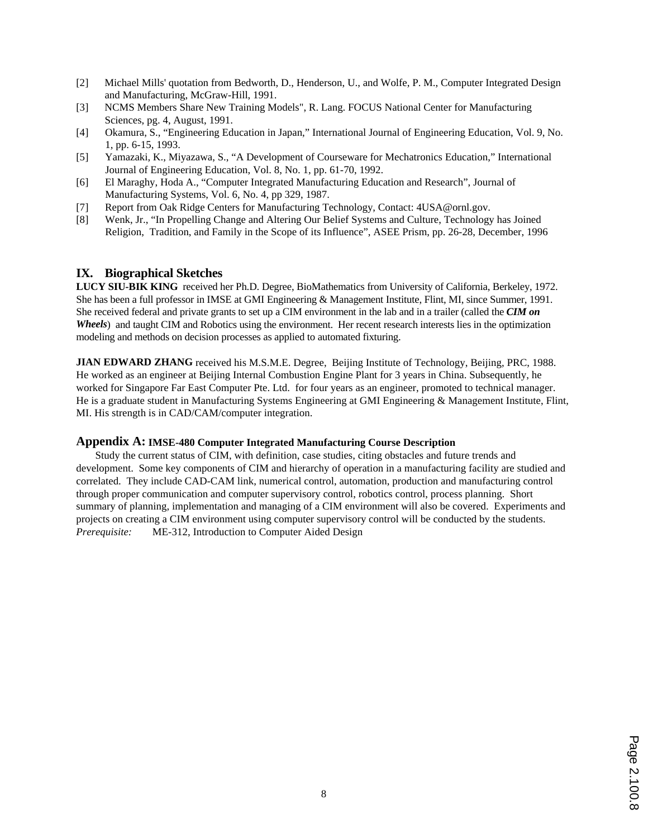- [2] Michael Mills' quotation from Bedworth, D., Henderson, U., and Wolfe, P. M., Computer Integrated Design and Manufacturing, McGraw-Hill, 1991.
- [3] NCMS Members Share New Training Models", R. Lang. FOCUS National Center for Manufacturing Sciences, pg. 4, August, 1991.
- [4] Okamura, S., "Engineering Education in Japan," International Journal of Engineering Education, Vol. 9, No. 1, pp. 6-15, 1993.
- [5] Yamazaki, K., Miyazawa, S., "A Development of Courseware for Mechatronics Education," International Journal of Engineering Education, Vol. 8, No. 1, pp. 61-70, 1992.
- [6] El Maraghy, Hoda A., "Computer Integrated Manufacturing Education and Research", Journal of Manufacturing Systems, Vol. 6, No. 4, pp 329, 1987.
- [7] Report from Oak Ridge Centers for Manufacturing Technology, Contact: 4USA@ornl.gov.
- [8] Wenk, Jr., "In Propelling Change and Altering Our Belief Systems and Culture, Technology has Joined Religion, Tradition, and Family in the Scope of its Influence", ASEE Prism, pp. 26-28, December, 1996

#### **IX. Biographical Sketches**

**LUCY SIU-BIK KING** received her Ph.D. Degree, BioMathematics from University of California, Berkeley, 1972. She has been a full professor in IMSE at GMI Engineering & Management Institute, Flint, MI, since Summer, 1991. She received federal and private grants to set up a CIM environment in the lab and in a trailer (called the *CIM on Wheels*) and taught CIM and Robotics using the environment. Her recent research interests lies in the optimization modeling and methods on decision processes as applied to automated fixturing.

**JIAN EDWARD ZHANG** received his M.S.M.E. Degree, Beijing Institute of Technology, Beijing, PRC, 1988. He worked as an engineer at Beijing Internal Combustion Engine Plant for 3 years in China. Subsequently, he worked for Singapore Far East Computer Pte. Ltd. for four years as an engineer, promoted to technical manager. He is a graduate student in Manufacturing Systems Engineering at GMI Engineering & Management Institute, Flint, MI. His strength is in CAD/CAM/computer integration.

#### **Appendix A: IMSE-480 Computer Integrated Manufacturing Course Description**

Study the current status of CIM, with definition, case studies, citing obstacles and future trends and development. Some key components of CIM and hierarchy of operation in a manufacturing facility are studied and correlated. They include CAD-CAM link, numerical control, automation, production and manufacturing control through proper communication and computer supervisory control, robotics control, process planning. Short summary of planning, implementation and managing of a CIM environment will also be covered. Experiments and projects on creating a CIM environment using computer supervisory control will be conducted by the students. *Prerequisite:* ME-312, Introduction to Computer Aided Design